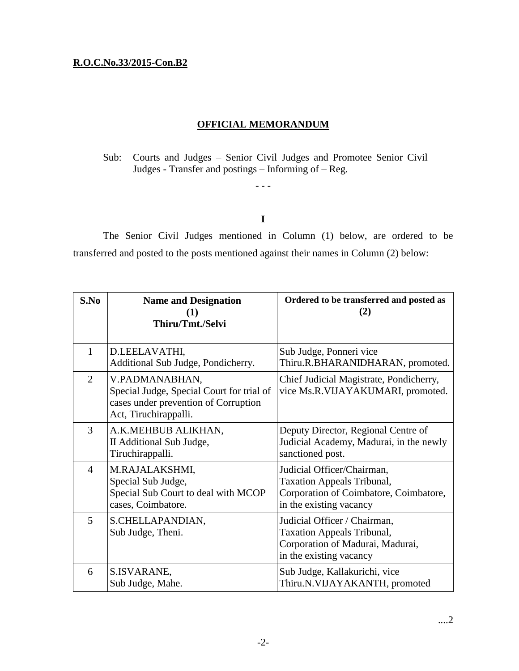## **R.O.C.No.33/2015-Con.B2**

## **OFFICIAL MEMORANDUM**

Sub: Courts and Judges – Senior Civil Judges and Promotee Senior Civil Judges - Transfer and postings – Informing of – Reg.

- - -

**I**

The Senior Civil Judges mentioned in Column (1) below, are ordered to be transferred and posted to the posts mentioned against their names in Column (2) below:

| S.No           | <b>Name and Designation</b><br>Thiru/Tmt./Selvi                                                                              | Ordered to be transferred and posted as<br>(2)                                                                                       |
|----------------|------------------------------------------------------------------------------------------------------------------------------|--------------------------------------------------------------------------------------------------------------------------------------|
| 1              | D.LEELAVATHI,<br>Additional Sub Judge, Pondicherry.                                                                          | Sub Judge, Ponneri vice<br>Thiru.R.BHARANIDHARAN, promoted.                                                                          |
| $\overline{2}$ | V.PADMANABHAN,<br>Special Judge, Special Court for trial of<br>cases under prevention of Corruption<br>Act, Tiruchirappalli. | Chief Judicial Magistrate, Pondicherry,<br>vice Ms.R.VIJAYAKUMARI, promoted.                                                         |
| 3              | A.K.MEHBUB ALIKHAN,<br>II Additional Sub Judge,<br>Tiruchirappalli.                                                          | Deputy Director, Regional Centre of<br>Judicial Academy, Madurai, in the newly<br>sanctioned post.                                   |
| $\overline{4}$ | M.RAJALAKSHMI,<br>Special Sub Judge,<br>Special Sub Court to deal with MCOP<br>cases, Coimbatore.                            | Judicial Officer/Chairman,<br><b>Taxation Appeals Tribunal,</b><br>Corporation of Coimbatore, Coimbatore,<br>in the existing vacancy |
| 5              | S.CHELLAPANDIAN,<br>Sub Judge, Theni.                                                                                        | Judicial Officer / Chairman,<br><b>Taxation Appeals Tribunal,</b><br>Corporation of Madurai, Madurai,<br>in the existing vacancy     |
| 6              | S.ISVARANE,<br>Sub Judge, Mahe.                                                                                              | Sub Judge, Kallakurichi, vice<br>Thiru.N.VIJAYAKANTH, promoted                                                                       |